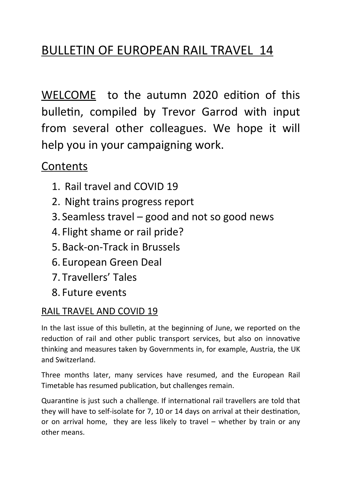# BULLETIN OF EUROPEAN RAIL TRAVEL 14

WELCOME to the autumn 2020 edition of this bulletin, compiled by Trevor Garrod with input from several other colleagues. We hope it will help you in your campaigning work.

# **Contents**

- 1. Rail travel and COVID 19
- 2. Night trains progress report
- 3. Seamless travel good and not so good news
- 4. Flight shame or rail pride?
- 5. Back-on-Track in Brussels
- 6. European Green Deal
- 7. Travellers' Tales
- 8. Future events

# RAIL TRAVEL AND COVID 19

In the last issue of this bulletin, at the beginning of June, we reported on the reduction of rail and other public transport services, but also on innovative thinking and measures taken by Governments in, for example, Austria, the UK and Switzerland.

Three months later, many services have resumed, and the European Rail Timetable has resumed publication, but challenges remain.

Quarantine is just such a challenge. If international rail travellers are told that they will have to self-isolate for 7, 10 or 14 days on arrival at their destination, or on arrival home, they are less likely to travel – whether by train or any other means.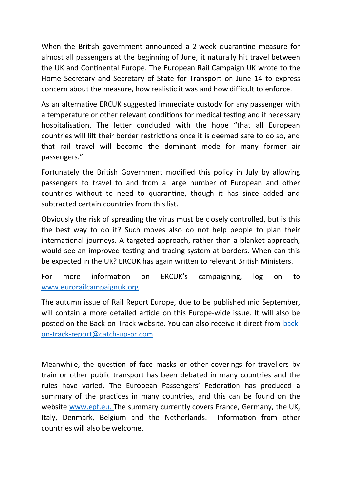When the British government announced a 2-week quarantine measure for almost all passengers at the beginning of June, it naturally hit travel between the UK and Continental Europe. The European Rail Campaign UK wrote to the Home Secretary and Secretary of State for Transport on June 14 to express concern about the measure, how realistic it was and how difficult to enforce.

As an alternative ERCUK suggested immediate custody for any passenger with a temperature or other relevant conditions for medical testing and if necessary hospitalisation. The letter concluded with the hope "that all European countries will lift their border restrictions once it is deemed safe to do so, and that rail travel will become the dominant mode for many former air passengers."

Fortunately the British Government modified this policy in July by allowing passengers to travel to and from a large number of European and other countries without to need to quarantine, though it has since added and subtracted certain countries from this list.

Obviously the risk of spreading the virus must be closely controlled, but is this the best way to do it? Such moves also do not help people to plan their international journeys. A targeted approach, rather than a blanket approach, would see an improved testing and tracing system at borders. When can this be expected in the UK? ERCUK has again written to relevant British Ministers.

For more information on ERCUK's campaigning, log on to [www.eurorailcampaignuk.org](http://www.eurorailcampaignuk.org/)

The autumn issue of Rail Report Europe, due to be published mid September, will contain a more detailed article on this Europe-wide issue. It will also be posted on the Back-on-Track website. You can also receive it direct from [back](mailto:back-on-track-report@catch-up-pr.com)[on-track-report@catch-up-pr.com](mailto:back-on-track-report@catch-up-pr.com) 

Meanwhile, the question of face masks or other coverings for travellers by train or other public transport has been debated in many countries and the rules have varied. The European Passengers' Federation has produced a summary of the practices in many countries, and this can be found on the website www.epf.eu. The summary currently covers France, Germany, the UK, Italy, Denmark, Belgium and the Netherlands. Information from other countries will also be welcome.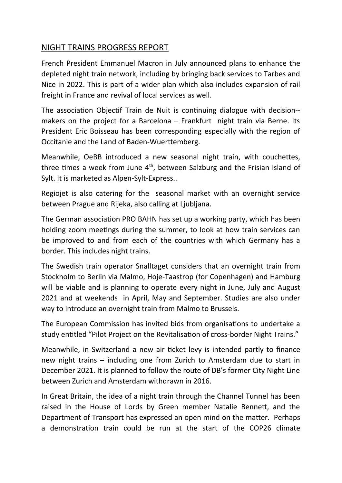## NIGHT TRAINS PROGRESS REPORT

French President Emmanuel Macron in July announced plans to enhance the depleted night train network, including by bringing back services to Tarbes and Nice in 2022. This is part of a wider plan which also includes expansion of rail freight in France and revival of local services as well.

The association Objectif Train de Nuit is continuing dialogue with decision- makers on the project for a Barcelona – Frankfurt night train via Berne. Its President Eric Boisseau has been corresponding especially with the region of Occitanie and the Land of Baden-Wuerttemberg.

Meanwhile, OeBB introduced a new seasonal night train, with couchettes, three times a week from June  $4<sup>th</sup>$ , between Salzburg and the Frisian island of Sylt. It is marketed as Alpen-Sylt-Express..

Regiojet is also catering for the seasonal market with an overnight service between Prague and Rijeka, also calling at Ljubljana.

The German association PRO BAHN has set up a working party, which has been holding zoom meetings during the summer, to look at how train services can be improved to and from each of the countries with which Germany has a border. This includes night trains.

The Swedish train operator Snalltaget considers that an overnight train from Stockholm to Berlin via Malmo, Hoje-Taastrop (for Copenhagen) and Hamburg will be viable and is planning to operate every night in June, July and August 2021 and at weekends in April, May and September. Studies are also under way to introduce an overnight train from Malmo to Brussels.

The European Commission has invited bids from organisations to undertake a study entitled "Pilot Project on the Revitalisation of cross-border Night Trains."

Meanwhile, in Switzerland a new air ticket levy is intended partly to finance new night trains – including one from Zurich to Amsterdam due to start in December 2021. It is planned to follow the route of DB's former City Night Line between Zurich and Amsterdam withdrawn in 2016.

In Great Britain, the idea of a night train through the Channel Tunnel has been raised in the House of Lords by Green member Natalie Bennett, and the Department of Transport has expressed an open mind on the matter. Perhaps a demonstration train could be run at the start of the COP26 climate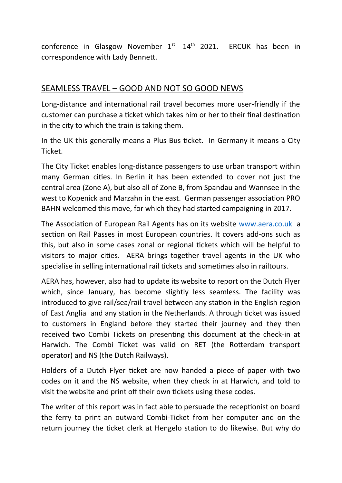conference in Glasgow November  $1<sup>st</sup>$ -  $14<sup>th</sup>$  2021. ERCUK has been in correspondence with Lady Bennett.

#### SEAMLESS TRAVEL – GOOD AND NOT SO GOOD NEWS

Long-distance and international rail travel becomes more user-friendly if the customer can purchase a ticket which takes him or her to their final destination in the city to which the train is taking them.

In the UK this generally means a Plus Bus ticket. In Germany it means a City Ticket.

The City Ticket enables long-distance passengers to use urban transport within many German cities. In Berlin it has been extended to cover not just the central area (Zone A), but also all of Zone B, from Spandau and Wannsee in the west to Kopenick and Marzahn in the east. German passenger association PRO BAHN welcomed this move, for which they had started campaigning in 2017.

The Association of European Rail Agents has on its website [www.aera.co.uk](http://www.aera.co.uk/) a section on Rail Passes in most European countries. It covers add-ons such as this, but also in some cases zonal or regional tickets which will be helpful to visitors to major cities. AERA brings together travel agents in the UK who specialise in selling international rail tickets and sometimes also in railtours.

AERA has, however, also had to update its website to report on the Dutch Flyer which, since January, has become slightly less seamless. The facility was introduced to give rail/sea/rail travel between any station in the English region of East Anglia and any station in the Netherlands. A through ticket was issued to customers in England before they started their journey and they then received two Combi Tickets on presenting this document at the check-in at Harwich. The Combi Ticket was valid on RET (the Rotterdam transport operator) and NS (the Dutch Railways).

Holders of a Dutch Flyer ticket are now handed a piece of paper with two codes on it and the NS website, when they check in at Harwich, and told to visit the website and print off their own tickets using these codes.

The writer of this report was in fact able to persuade the receptionist on board the ferry to print an outward Combi-Ticket from her computer and on the return journey the ticket clerk at Hengelo station to do likewise. But why do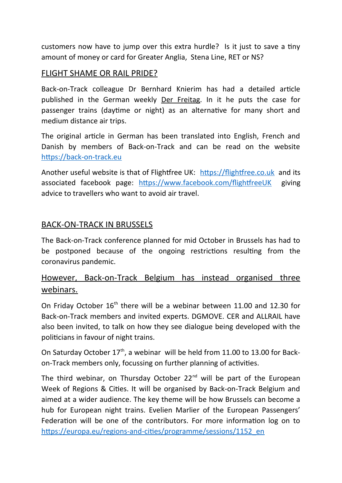customers now have to jump over this extra hurdle? Is it just to save a tiny amount of money or card for Greater Anglia, Stena Line, RET or NS?

#### FLIGHT SHAME OR RAIL PRIDE?

Back-on-Track colleague Dr Bernhard Knierim has had a detailed article published in the German weekly Der Freitag. In it he puts the case for passenger trains (daytime or night) as an alternative for many short and medium distance air trips.

The original article in German has been translated into English, French and Danish by members of Back-on-Track and can be read on the website [https://back-on-track.eu](https://back-on-track.eu/) 

Another useful website is that of Flightfree UK: [https://flightfree.co.uk](https://flightfree.co.uk/) and its associated facebook page:<https://www.facebook.com/flightfreeUK>giving advice to travellers who want to avoid air travel.

#### BACK-ON-TRACK IN BRUSSELS

The Back-on-Track conference planned for mid October in Brussels has had to be postponed because of the ongoing restrictions resulting from the coronavirus pandemic.

## However, Back-on-Track Belgium has instead organised three webinars.

On Friday October 16<sup>th</sup> there will be a webinar between 11.00 and 12.30 for Back-on-Track members and invited experts. DGMOVE. CER and ALLRAIL have also been invited, to talk on how they see dialogue being developed with the politicians in favour of night trains.

On Saturday October  $17<sup>th</sup>$ , a webinar will be held from 11.00 to 13.00 for Backon-Track members only, focussing on further planning of activities.

The third webinar, on Thursday October  $22<sup>nd</sup>$  will be part of the European Week of Regions & Cities. It will be organised by Back-on-Track Belgium and aimed at a wider audience. The key theme will be how Brussels can become a hub for European night trains. Evelien Marlier of the European Passengers' Federation will be one of the contributors. For more information log on to [https://europa.eu/regions-and-cities/programme/sessions/1152\\_en](https://europa.eu/regions-and-cities/programme/sessions/1152_en)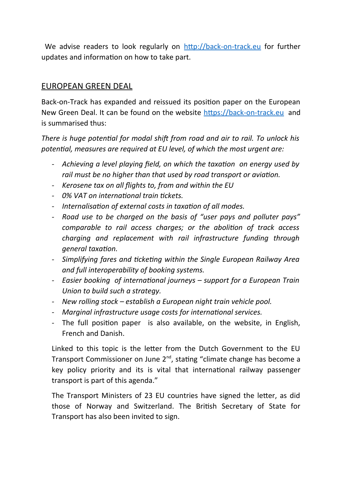We advise readers to look regularly on [http://back-on-track.eu](http://back-on-track.eu/) for further updates and information on how to take part.

#### EUROPEAN GREEN DEAL

Back-on-Track has expanded and reissued its position paper on the European New Green Deal. It can be found on the website [https://back-on-track.eu](https://back-on-track.eu/) and is summarised thus:

*There is huge potential for modal shift from road and air to rail. To unlock his potential, measures are required at EU level, of which the most urgent are:*

- *- Achieving a level playing field, on which the taxation on energy used by rail must be no higher than that used by road transport or aviation.*
- *- Kerosene tax on all flights to, from and within the EU*
- *- 0% VAT on international train tickets.*
- *- Internalisation of external costs in taxation of all modes.*
- *- Road use to be charged on the basis of "user pays and polluter pays" comparable to rail access charges; or the abolition of track access charging and replacement with rail infrastructure funding through general taxation.*
- *- Simplifying fares and ticketing within the Single European Railway Area and full interoperability of booking systems.*
- *- Easier booking of international journeys support for a European Train Union to build such a strategy.*
- *- New rolling stock establish a European night train vehicle pool.*
- *- Marginal infrastructure usage costs for international services.*
- *-* The full position paper is also available, on the website, in English, French and Danish.

Linked to this topic is the letter from the Dutch Government to the EU Transport Commissioner on June  $2^{nd}$ , stating "climate change has become a key policy priority and its is vital that international railway passenger transport is part of this agenda."

The Transport Ministers of 23 EU countries have signed the letter, as did those of Norway and Switzerland. The British Secretary of State for Transport has also been invited to sign.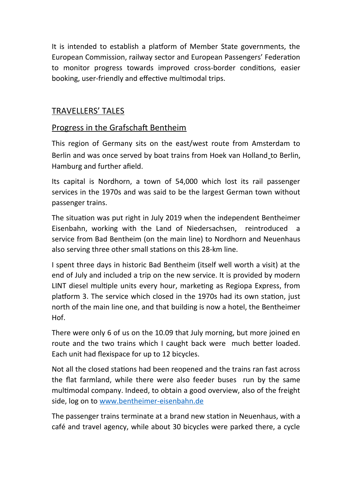It is intended to establish a platform of Member State governments, the European Commission, railway sector and European Passengers' Federation to monitor progress towards improved cross-border conditions, easier booking, user-friendly and effective multimodal trips.

#### TRAVELLERS' TALES

#### Progress in the Grafschaft Bentheim

This region of Germany sits on the east/west route from Amsterdam to Berlin and was once served by boat trains from Hoek van Holland to Berlin, Hamburg and further afield.

Its capital is Nordhorn, a town of 54,000 which lost its rail passenger services in the 1970s and was said to be the largest German town without passenger trains.

The situation was put right in July 2019 when the independent Bentheimer Eisenbahn, working with the Land of Niedersachsen, reintroduced a service from Bad Bentheim (on the main line) to Nordhorn and Neuenhaus also serving three other small stations on this 28-km line.

I spent three days in historic Bad Bentheim (itself well worth a visit) at the end of July and included a trip on the new service. It is provided by modern LINT diesel multiple units every hour, marketing as Regiopa Express, from platform 3. The service which closed in the 1970s had its own station, just north of the main line one, and that building is now a hotel, the Bentheimer Hof.

There were only 6 of us on the 10.09 that July morning, but more joined en route and the two trains which I caught back were much better loaded. Each unit had flexispace for up to 12 bicycles.

Not all the closed stations had been reopened and the trains ran fast across the flat farmland, while there were also feeder buses run by the same multimodal company. Indeed, to obtain a good overview, also of the freight side, log on to [www.bentheimer-eisenbahn.de](http://www.bentheimer-eisenbahn.de/) 

The passenger trains terminate at a brand new station in Neuenhaus, with a café and travel agency, while about 30 bicycles were parked there, a cycle